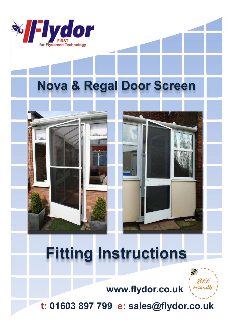

# **Nova & Regal Door Screen**





www.flydor.co.uk

t: 01603 897 799 e: sales@flydor.co.uk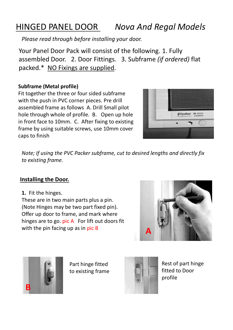## HINGED PANEL DOOR *Nova And Regal Models*

*Please read through before installing your door.*

Your Panel Door Pack will consist of the following. 1. Fully assembled Door. 2. Door Fittings. 3. Subframe *(if ordered)* flat packed.\* NO Fixings are supplied.

#### **Subframe (Metal profile)**

Fit together the three or four sided subframe with the push in PVC corner pieces. Pre drill assembled frame as follows A. Drill Small pilot hole through whole of profile. B. Open up hole in front face to 10mm. C. After fixing to existing frame by using suitable screws, use 10mm cover caps to finish



*Note; If using the PVC Packer subframe, cut to desired lengths and directly fix to existing frame.*

### **Installing the Door.**

**1.** Fit the hinges.

These are in two main parts plus a pin. (Note Hinges may be two part fixed pin). Offer up door to frame, and mark where hinges are to go. pic A For lift out doors fit with the pin facing up as in pic B





Part hinge fitted to existing frame



Rest of part hinge fitted to Door profile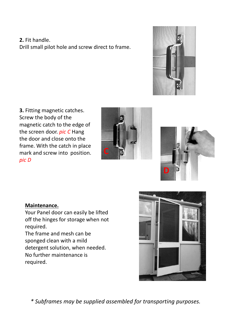**2.** Fit handle. Drill small pilot hole and screw direct to frame.



**3.** Fitting magnetic catches. Screw the body of the magnetic catch to the edge of the screen door. *pic C* Hang the door and close onto the frame. With the catch in place mark and screw into position. *pic D* 





#### **Maintenance.**

Your Panel door can easily be lifted off the hinges for storage when not required.

The frame and mesh can be sponged clean with a mild detergent solution, when needed. No further maintenance is required.



*\* Subframes may be supplied assembled for transporting purposes.*